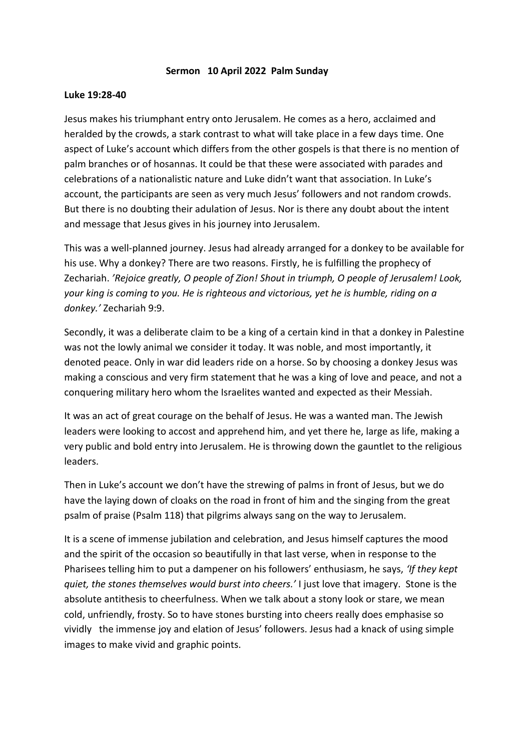## **Sermon 10 April 2022 Palm Sunday**

## **Luke 19:28-40**

Jesus makes his triumphant entry onto Jerusalem. He comes as a hero, acclaimed and heralded by the crowds, a stark contrast to what will take place in a few days time. One aspect of Luke's account which differs from the other gospels is that there is no mention of palm branches or of hosannas. It could be that these were associated with parades and celebrations of a nationalistic nature and Luke didn't want that association. In Luke's account, the participants are seen as very much Jesus' followers and not random crowds. But there is no doubting their adulation of Jesus. Nor is there any doubt about the intent and message that Jesus gives in his journey into Jerusalem.

This was a well-planned journey. Jesus had already arranged for a donkey to be available for his use. Why a donkey? There are two reasons. Firstly, he is fulfilling the prophecy of Zechariah. *'Rejoice greatly, O people of Zion! Shout in triumph, O people of Jerusalem! Look, your king is coming to you. He is righteous and victorious, yet he is humble, riding on a donkey.'* Zechariah 9:9.

Secondly, it was a deliberate claim to be a king of a certain kind in that a donkey in Palestine was not the lowly animal we consider it today. It was noble, and most importantly, it denoted peace. Only in war did leaders ride on a horse. So by choosing a donkey Jesus was making a conscious and very firm statement that he was a king of love and peace, and not a conquering military hero whom the Israelites wanted and expected as their Messiah.

It was an act of great courage on the behalf of Jesus. He was a wanted man. The Jewish leaders were looking to accost and apprehend him, and yet there he, large as life, making a very public and bold entry into Jerusalem. He is throwing down the gauntlet to the religious leaders.

Then in Luke's account we don't have the strewing of palms in front of Jesus, but we do have the laying down of cloaks on the road in front of him and the singing from the great psalm of praise (Psalm 118) that pilgrims always sang on the way to Jerusalem.

It is a scene of immense jubilation and celebration, and Jesus himself captures the mood and the spirit of the occasion so beautifully in that last verse, when in response to the Pharisees telling him to put a dampener on his followers' enthusiasm, he says, *'If they kept quiet, the stones themselves would burst into cheers.'* I just love that imagery. Stone is the absolute antithesis to cheerfulness. When we talk about a stony look or stare, we mean cold, unfriendly, frosty. So to have stones bursting into cheers really does emphasise so vividly the immense joy and elation of Jesus' followers. Jesus had a knack of using simple images to make vivid and graphic points.